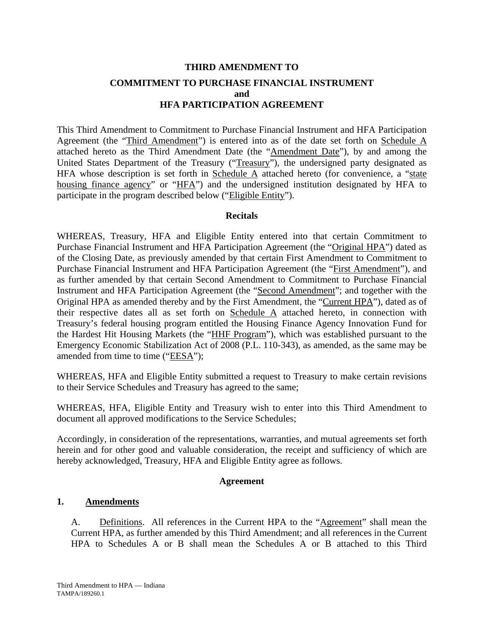# **THIRD AMENDMENT TO COMMITMENT TO PURCHASE FINANCIAL INSTRUMENT and HFA PARTICIPATION AGREEMENT**

This Third Amendment to Commitment to Purchase Financial Instrument and HFA Participation Agreement (the "Third Amendment") is entered into as of the date set forth on Schedule A attached hereto as the Third Amendment Date (the "Amendment Date"), by and among the United States Department of the Treasury ("Treasury"), the undersigned party designated as HFA whose description is set forth in Schedule  $\overline{A}$  attached hereto (for convenience, a "state housing finance agency" or "HFA") and the undersigned institution designated by HFA to participate in the program described below ("Eligible Entity").

## **Recitals**

WHEREAS, Treasury, HFA and Eligible Entity entered into that certain Commitment to Purchase Financial Instrument and HFA Participation Agreement (the "Original HPA") dated as of the Closing Date, as previously amended by that certain First Amendment to Commitment to Purchase Financial Instrument and HFA Participation Agreement (the "First Amendment"), and as further amended by that certain Second Amendment to Commitment to Purchase Financial Instrument and HFA Participation Agreement (the "Second Amendment"; and together with the Original HPA as amended thereby and by the First Amendment, the "Current HPA"), dated as of their respective dates all as set forth on Schedule A attached hereto, in connection with Treasury's federal housing program entitled the Housing Finance Agency Innovation Fund for the Hardest Hit Housing Markets (the "HHF Program"), which was established pursuant to the Emergency Economic Stabilization Act of 2008 (P.L. 110-343), as amended, as the same may be amended from time to time ("EESA");

WHEREAS, HFA and Eligible Entity submitted a request to Treasury to make certain revisions to their Service Schedules and Treasury has agreed to the same;

WHEREAS, HFA, Eligible Entity and Treasury wish to enter into this Third Amendment to document all approved modifications to the Service Schedules;

Accordingly, in consideration of the representations, warranties, and mutual agreements set forth herein and for other good and valuable consideration, the receipt and sufficiency of which are hereby acknowledged, Treasury, HFA and Eligible Entity agree as follows.

## **Agreement**

## **1. Amendments**

A. Definitions. All references in the Current HPA to the "Agreement" shall mean the Current HPA, as further amended by this Third Amendment; and all references in the Current HPA to Schedules A or B shall mean the Schedules A or B attached to this Third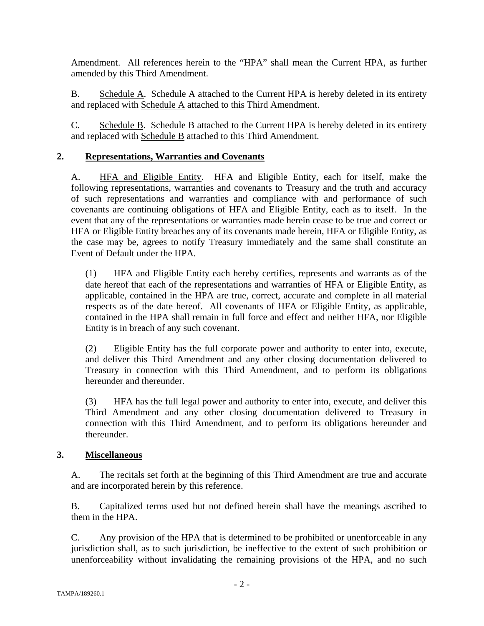Amendment. All references herein to the "HPA" shall mean the Current HPA, as further amended by this Third Amendment.

B. Schedule A. Schedule A attached to the Current HPA is hereby deleted in its entirety and replaced with Schedule A attached to this Third Amendment.

C. Schedule B. Schedule B attached to the Current HPA is hereby deleted in its entirety and replaced with Schedule B attached to this Third Amendment.

## **2. Representations, Warranties and Covenants**

A. HFA and Eligible Entity. HFA and Eligible Entity, each for itself, make the following representations, warranties and covenants to Treasury and the truth and accuracy of such representations and warranties and compliance with and performance of such covenants are continuing obligations of HFA and Eligible Entity, each as to itself. In the event that any of the representations or warranties made herein cease to be true and correct or HFA or Eligible Entity breaches any of its covenants made herein, HFA or Eligible Entity, as the case may be, agrees to notify Treasury immediately and the same shall constitute an Event of Default under the HPA.

(1) HFA and Eligible Entity each hereby certifies, represents and warrants as of the date hereof that each of the representations and warranties of HFA or Eligible Entity, as applicable, contained in the HPA are true, correct, accurate and complete in all material respects as of the date hereof. All covenants of HFA or Eligible Entity, as applicable, contained in the HPA shall remain in full force and effect and neither HFA, nor Eligible Entity is in breach of any such covenant.

(2) Eligible Entity has the full corporate power and authority to enter into, execute, and deliver this Third Amendment and any other closing documentation delivered to Treasury in connection with this Third Amendment, and to perform its obligations hereunder and thereunder.

(3) HFA has the full legal power and authority to enter into, execute, and deliver this Third Amendment and any other closing documentation delivered to Treasury in connection with this Third Amendment, and to perform its obligations hereunder and thereunder.

## **3. Miscellaneous**

A. The recitals set forth at the beginning of this Third Amendment are true and accurate and are incorporated herein by this reference.

B. Capitalized terms used but not defined herein shall have the meanings ascribed to them in the HPA.

C. Any provision of the HPA that is determined to be prohibited or unenforceable in any jurisdiction shall, as to such jurisdiction, be ineffective to the extent of such prohibition or unenforceability without invalidating the remaining provisions of the HPA, and no such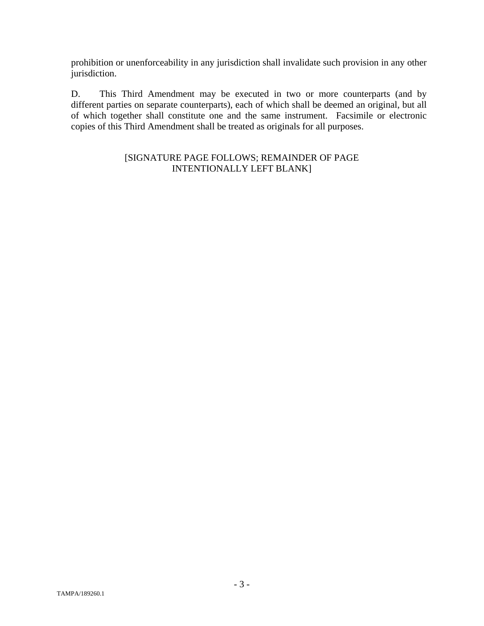prohibition or unenforceability in any jurisdiction shall invalidate such provision in any other jurisdiction.

D. This Third Amendment may be executed in two or more counterparts (and by different parties on separate counterparts), each of which shall be deemed an original, but all of which together shall constitute one and the same instrument. Facsimile or electronic copies of this Third Amendment shall be treated as originals for all purposes.

## [SIGNATURE PAGE FOLLOWS; REMAINDER OF PAGE INTENTIONALLY LEFT BLANK]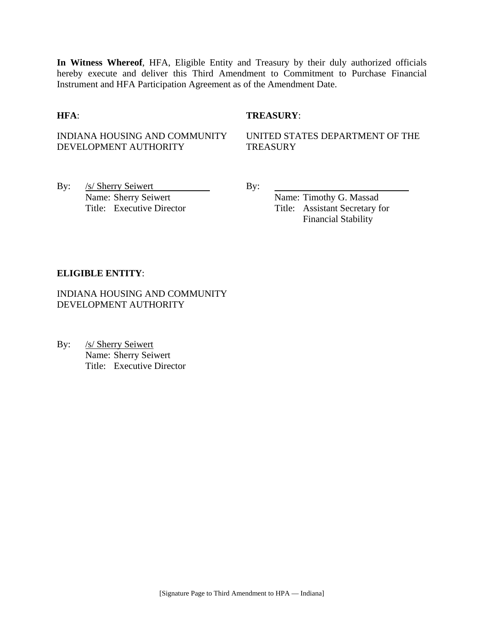**In Witness Whereof**, HFA, Eligible Entity and Treasury by their duly authorized officials hereby execute and deliver this Third Amendment to Commitment to Purchase Financial Instrument and HFA Participation Agreement as of the Amendment Date.

## **HFA**: **TREASURY**:

## INDIANA HOUSING AND COMMUNITY DEVELOPMENT AUTHORITY

UNITED STATES DEPARTMENT OF THE **TREASURY** 

By: <u>/s/ Sherry Seiwert By:</u> By: Name: Sherry Seiwert Name: Timothy G. Massad

Title: Executive Director Title: Assistant Secretary for Financial Stability

### **ELIGIBLE ENTITY**:

INDIANA HOUSING AND COMMUNITY DEVELOPMENT AUTHORITY

By: /s/ Sherry Seiwert Name: Sherry Seiwert Title: Executive Director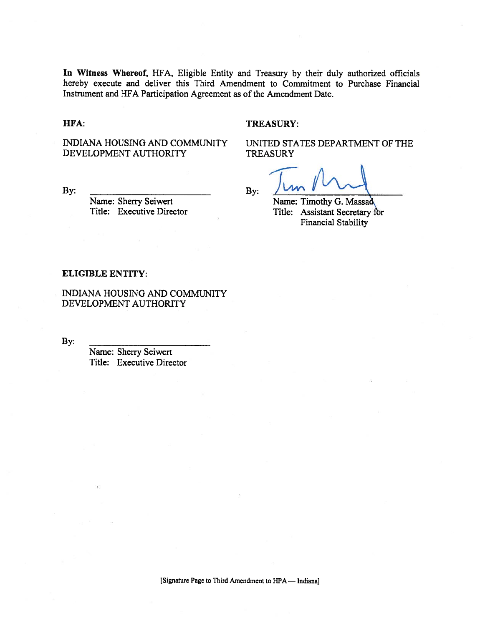In Witness Whereof, HFA, Eligible Entity and Treasury by their duly authorized officials hereby execute and deliver this Third Amendment to Commitment to Purchase Financial Instrument and HFA Participation Agreement as of the Amendment Date.

#### HFA:

#### **TREASURY:**

INDIANA HOUSING AND COMMUNITY DEVELOPMENT AUTHORITY

By:

Name: Sherry Seiwert Title: Executive Director UNITED STATES DEPARTMENT OF THE **TREASURY** 

By:

Name: Timothy G. Massad Title: Assistant Secretary for Financial Stability

#### **ELIGIBLE ENTITY:**

INDIANA HOUSING AND COMMUNITY DEVELOPMENT AUTHORITY

By:

Name: Sherry Seiwert Title: Executive Director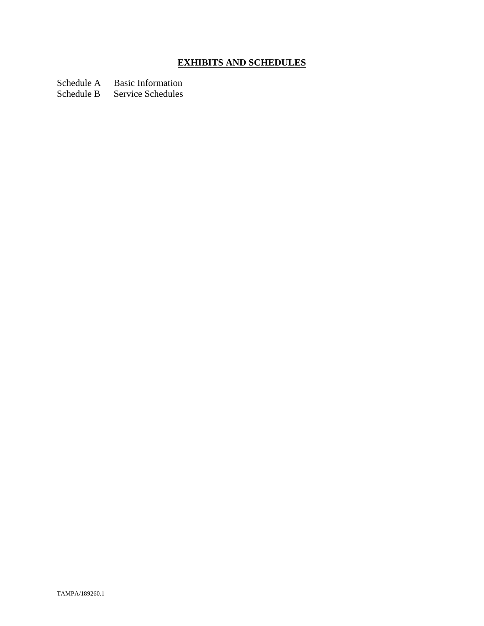# **EXHIBITS AND SCHEDULES**

Schedule A Basic Information

Schedule B Service Schedules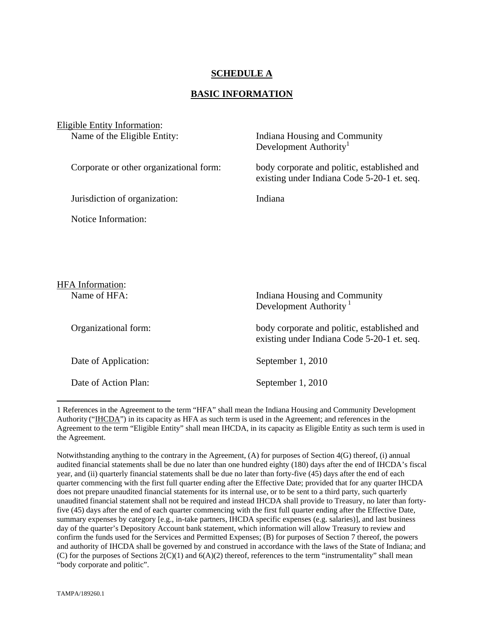## **SCHEDULE A**

## **BASIC INFORMATION**

| Eligible Entity Information:            |                                                                                            |  |  |  |
|-----------------------------------------|--------------------------------------------------------------------------------------------|--|--|--|
| Name of the Eligible Entity:            | Indiana Housing and Community<br>Development Authority <sup>1</sup>                        |  |  |  |
| Corporate or other organizational form: | body corporate and politic, established and<br>existing under Indiana Code 5-20-1 et. seq. |  |  |  |
| Jurisdiction of organization:           | Indiana                                                                                    |  |  |  |
| Notice Information:                     |                                                                                            |  |  |  |
|                                         |                                                                                            |  |  |  |
|                                         |                                                                                            |  |  |  |
|                                         |                                                                                            |  |  |  |
| <b>HFA</b> Information:<br>Name of HFA: | Indiana Housing and Community<br>Development Authority <sup>1</sup>                        |  |  |  |
| Organizational form:                    | body corporate and politic, established and<br>existing under Indiana Code 5-20-1 et. seq. |  |  |  |
| Date of Application:                    | September 1, 2010                                                                          |  |  |  |

Date of Action Plan: September 1, 2010

 $\overline{a}$ 

<sup>1</sup> References in the Agreement to the term "HFA" shall mean the Indiana Housing and Community Development Authority ("IHCDA") in its capacity as HFA as such term is used in the Agreement; and references in the Agreement to the term "Eligible Entity" shall mean IHCDA, in its capacity as Eligible Entity as such term is used in the Agreement.

Notwithstanding anything to the contrary in the Agreement, (A) for purposes of Section 4(G) thereof, (i) annual audited financial statements shall be due no later than one hundred eighty (180) days after the end of IHCDA's fiscal year, and (ii) quarterly financial statements shall be due no later than forty-five (45) days after the end of each quarter commencing with the first full quarter ending after the Effective Date; provided that for any quarter IHCDA does not prepare unaudited financial statements for its internal use, or to be sent to a third party, such quarterly unaudited financial statement shall not be required and instead IHCDA shall provide to Treasury, no later than fortyfive (45) days after the end of each quarter commencing with the first full quarter ending after the Effective Date, summary expenses by category [e.g., in-take partners, IHCDA specific expenses (e.g. salaries)], and last business day of the quarter's Depository Account bank statement, which information will allow Treasury to review and confirm the funds used for the Services and Permitted Expenses; (B) for purposes of Section 7 thereof, the powers and authority of IHCDA shall be governed by and construed in accordance with the laws of the State of Indiana; and (C) for the purposes of Sections 2(C)(1) and 6(A)(2) thereof, references to the term "instrumentality" shall mean "body corporate and politic".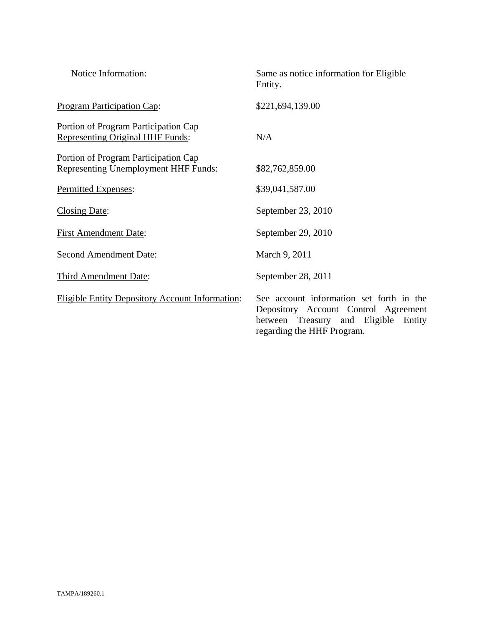| Notice Information:                                                                 | Same as notice information for Eligible<br>Entity.                                                                                                        |
|-------------------------------------------------------------------------------------|-----------------------------------------------------------------------------------------------------------------------------------------------------------|
| <b>Program Participation Cap:</b>                                                   | \$221,694,139.00                                                                                                                                          |
| Portion of Program Participation Cap<br><b>Representing Original HHF Funds:</b>     | N/A                                                                                                                                                       |
| Portion of Program Participation Cap<br><b>Representing Unemployment HHF Funds:</b> | \$82,762,859.00                                                                                                                                           |
| Permitted Expenses:                                                                 | \$39,041,587.00                                                                                                                                           |
| Closing Date:                                                                       | September 23, 2010                                                                                                                                        |
| <b>First Amendment Date:</b>                                                        | September 29, 2010                                                                                                                                        |
| <b>Second Amendment Date:</b>                                                       | March 9, 2011                                                                                                                                             |
| <b>Third Amendment Date:</b>                                                        | September 28, 2011                                                                                                                                        |
| <b>Eligible Entity Depository Account Information:</b>                              | See account information set forth in the<br>Depository Account Control Agreement<br>between Treasury and Eligible<br>Entity<br>regarding the HHF Program. |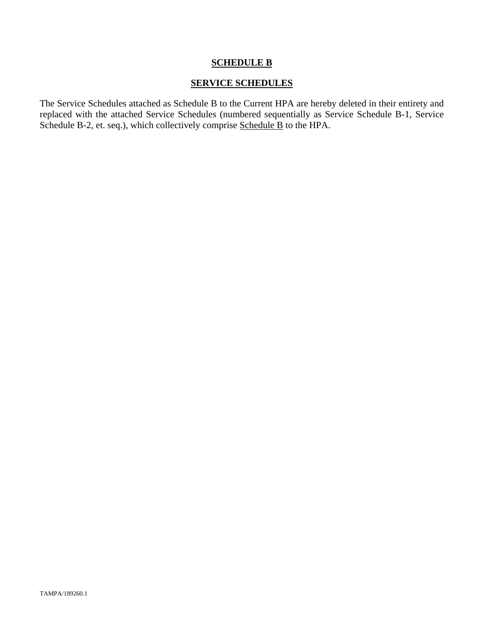## **SCHEDULE B**

## **SERVICE SCHEDULES**

The Service Schedules attached as Schedule B to the Current HPA are hereby deleted in their entirety and replaced with the attached Service Schedules (numbered sequentially as Service Schedule B-1, Service Schedule B-2, et. seq.), which collectively comprise Schedule B to the HPA.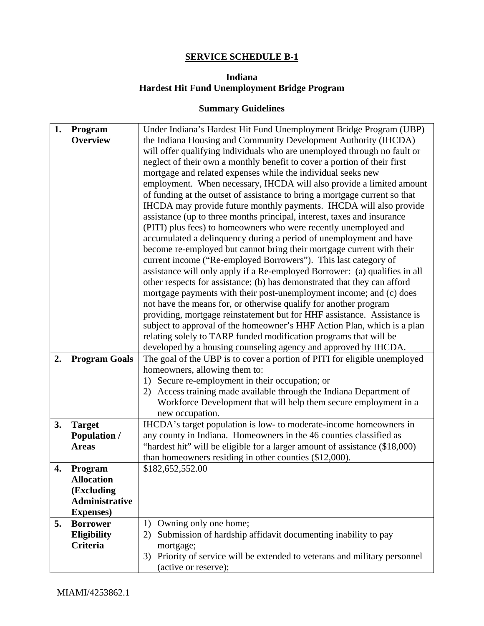# **SERVICE SCHEDULE B-1**

# **Indiana Hardest Hit Fund Unemployment Bridge Program**

## **Summary Guidelines**

| 1. | Program               | Under Indiana's Hardest Hit Fund Unemployment Bridge Program (UBP)            |
|----|-----------------------|-------------------------------------------------------------------------------|
|    | <b>Overview</b>       | the Indiana Housing and Community Development Authority (IHCDA)               |
|    |                       |                                                                               |
|    |                       | will offer qualifying individuals who are unemployed through no fault or      |
|    |                       | neglect of their own a monthly benefit to cover a portion of their first      |
|    |                       | mortgage and related expenses while the individual seeks new                  |
|    |                       | employment. When necessary, IHCDA will also provide a limited amount          |
|    |                       | of funding at the outset of assistance to bring a mortgage current so that    |
|    |                       | IHCDA may provide future monthly payments. IHCDA will also provide            |
|    |                       | assistance (up to three months principal, interest, taxes and insurance       |
|    |                       | (PITI) plus fees) to homeowners who were recently unemployed and              |
|    |                       | accumulated a delinquency during a period of unemployment and have            |
|    |                       | become re-employed but cannot bring their mortgage current with their         |
|    |                       | current income ("Re-employed Borrowers"). This last category of               |
|    |                       | assistance will only apply if a Re-employed Borrower: (a) qualifies in all    |
|    |                       | other respects for assistance; (b) has demonstrated that they can afford      |
|    |                       | mortgage payments with their post-unemployment income; and (c) does           |
|    |                       | not have the means for, or otherwise qualify for another program              |
|    |                       | providing, mortgage reinstatement but for HHF assistance. Assistance is       |
|    |                       | subject to approval of the homeowner's HHF Action Plan, which is a plan       |
|    |                       | relating solely to TARP funded modification programs that will be             |
|    |                       | developed by a housing counseling agency and approved by IHCDA.               |
| 2. | <b>Program Goals</b>  | The goal of the UBP is to cover a portion of PITI for eligible unemployed     |
|    |                       | homeowners, allowing them to:                                                 |
|    |                       | 1) Secure re-employment in their occupation; or                               |
|    |                       | Access training made available through the Indiana Department of<br>2)        |
|    |                       | Workforce Development that will help them secure employment in a              |
|    |                       | new occupation.                                                               |
| 3. | <b>Target</b>         | IHCDA's target population is low- to moderate-income homeowners in            |
|    | <b>Population /</b>   | any county in Indiana. Homeowners in the 46 counties classified as            |
|    | <b>Areas</b>          | "hardest hit" will be eligible for a larger amount of assistance (\$18,000)   |
|    |                       | than homeowners residing in other counties (\$12,000).                        |
| 4. | Program               | \$182,652,552.00                                                              |
|    | <b>Allocation</b>     |                                                                               |
|    | (Excluding            |                                                                               |
|    | <b>Administrative</b> |                                                                               |
|    | <b>Expenses</b> )     |                                                                               |
| 5. | <b>Borrower</b>       | Owning only one home;<br>1)                                                   |
|    | Eligibility           | Submission of hardship affidavit documenting inability to pay<br>2)           |
|    | Criteria              | mortgage;                                                                     |
|    |                       | Priority of service will be extended to veterans and military personnel<br>3) |
|    |                       | (active or reserve);                                                          |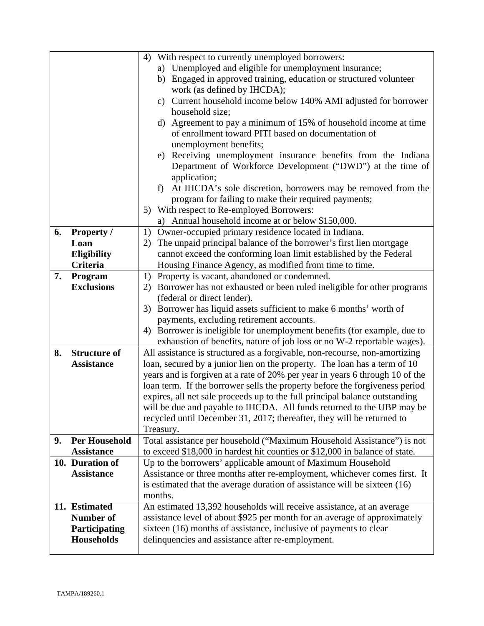|    |                      | With respect to currently unemployed borrowers:<br>4)                                                                                                  |  |
|----|----------------------|--------------------------------------------------------------------------------------------------------------------------------------------------------|--|
|    |                      | a) Unemployed and eligible for unemployment insurance;                                                                                                 |  |
|    |                      | b) Engaged in approved training, education or structured volunteer                                                                                     |  |
|    |                      | work (as defined by IHCDA);                                                                                                                            |  |
|    |                      | c) Current household income below 140% AMI adjusted for borrower                                                                                       |  |
|    |                      | household size;                                                                                                                                        |  |
|    |                      | d) Agreement to pay a minimum of 15% of household income at time                                                                                       |  |
|    |                      | of enrollment toward PITI based on documentation of                                                                                                    |  |
|    |                      | unemployment benefits;                                                                                                                                 |  |
|    |                      | e) Receiving unemployment insurance benefits from the Indiana                                                                                          |  |
|    |                      | Department of Workforce Development ("DWD") at the time of                                                                                             |  |
|    |                      | application;                                                                                                                                           |  |
|    |                      | At IHCDA's sole discretion, borrowers may be removed from the<br>f                                                                                     |  |
|    |                      | program for failing to make their required payments;                                                                                                   |  |
|    |                      | 5) With respect to Re-employed Borrowers:                                                                                                              |  |
|    |                      | a) Annual household income at or below \$150,000.                                                                                                      |  |
| 6. | <b>Property</b> /    | Owner-occupied primary residence located in Indiana.<br>1)                                                                                             |  |
|    | Loan                 | The unpaid principal balance of the borrower's first lien mortgage<br>2)                                                                               |  |
|    | <b>Eligibility</b>   | cannot exceed the conforming loan limit established by the Federal                                                                                     |  |
|    | Criteria             | Housing Finance Agency, as modified from time to time.                                                                                                 |  |
| 7. | Program              | 1) Property is vacant, abandoned or condemned.                                                                                                         |  |
|    | <b>Exclusions</b>    | 2) Borrower has not exhausted or been ruled ineligible for other programs                                                                              |  |
|    |                      | (federal or direct lender).                                                                                                                            |  |
|    |                      | 3) Borrower has liquid assets sufficient to make 6 months' worth of                                                                                    |  |
|    |                      | payments, excluding retirement accounts.                                                                                                               |  |
|    |                      | Borrower is ineligible for unemployment benefits (for example, due to<br>4)<br>exhaustion of benefits, nature of job loss or no W-2 reportable wages). |  |
| 8. | <b>Structure of</b>  | All assistance is structured as a forgivable, non-recourse, non-amortizing                                                                             |  |
|    | <b>Assistance</b>    | loan, secured by a junior lien on the property. The loan has a term of 10                                                                              |  |
|    |                      | years and is forgiven at a rate of 20% per year in years 6 through 10 of the                                                                           |  |
|    |                      | loan term. If the borrower sells the property before the forgiveness period                                                                            |  |
|    |                      | expires, all net sale proceeds up to the full principal balance outstanding                                                                            |  |
|    |                      | will be due and payable to IHCDA. All funds returned to the UBP may be                                                                                 |  |
|    |                      | recycled until December 31, 2017; thereafter, they will be returned to                                                                                 |  |
|    |                      | Treasury.                                                                                                                                              |  |
| 9. | <b>Per Household</b> | Total assistance per household ("Maximum Household Assistance") is not                                                                                 |  |
|    | <b>Assistance</b>    | to exceed \$18,000 in hardest hit counties or \$12,000 in balance of state.                                                                            |  |
|    | 10. Duration of      | Up to the borrowers' applicable amount of Maximum Household                                                                                            |  |
|    | <b>Assistance</b>    | Assistance or three months after re-employment, whichever comes first. It                                                                              |  |
|    |                      | is estimated that the average duration of assistance will be sixteen (16)                                                                              |  |
|    |                      | months.                                                                                                                                                |  |
|    | 11. Estimated        | An estimated 13,392 households will receive assistance, at an average                                                                                  |  |
|    | <b>Number of</b>     | assistance level of about \$925 per month for an average of approximately                                                                              |  |
|    | Participating        | sixteen (16) months of assistance, inclusive of payments to clear                                                                                      |  |
|    | <b>Households</b>    | delinquencies and assistance after re-employment.                                                                                                      |  |
|    |                      |                                                                                                                                                        |  |